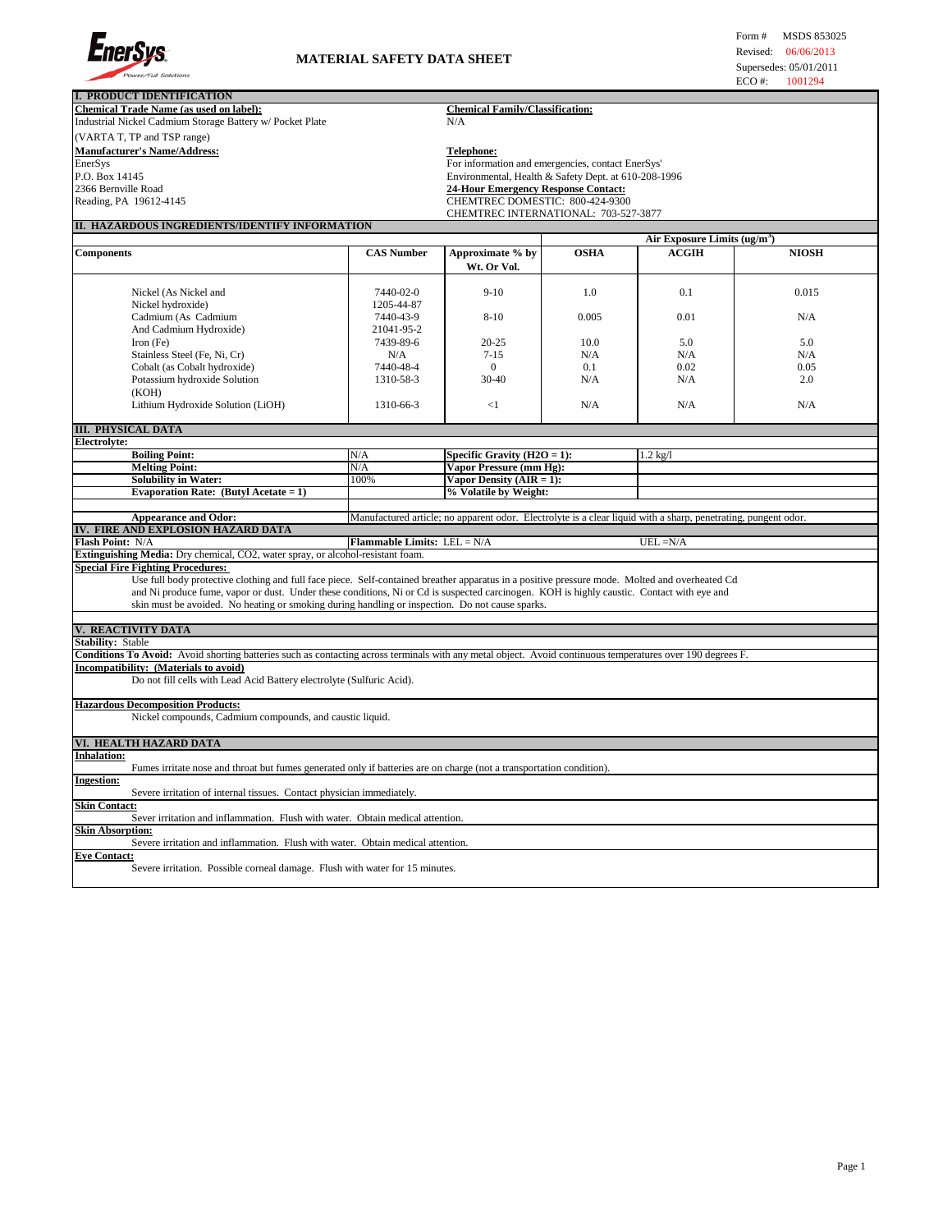

| <b>I. PRODUCT IDENTIFICATION</b>                                                                                                                           |                   |                                                                               |                                                      |                                                                                                                |              |  |  |  |
|------------------------------------------------------------------------------------------------------------------------------------------------------------|-------------------|-------------------------------------------------------------------------------|------------------------------------------------------|----------------------------------------------------------------------------------------------------------------|--------------|--|--|--|
| Chemical Trade Name (as used on label):                                                                                                                    |                   |                                                                               | <b>Chemical Family/Classification:</b>               |                                                                                                                |              |  |  |  |
| Industrial Nickel Cadmium Storage Battery w/ Pocket Plate                                                                                                  | N/A               |                                                                               |                                                      |                                                                                                                |              |  |  |  |
| (VARTA T, TP and TSP range)                                                                                                                                |                   |                                                                               |                                                      |                                                                                                                |              |  |  |  |
| <b>Manufacturer's Name/Address:</b>                                                                                                                        |                   | <b>Telephone:</b>                                                             |                                                      |                                                                                                                |              |  |  |  |
| EnerSys                                                                                                                                                    |                   |                                                                               |                                                      |                                                                                                                |              |  |  |  |
| P.O. Box 14145                                                                                                                                             |                   |                                                                               | For information and emergencies, contact EnerSys'    |                                                                                                                |              |  |  |  |
|                                                                                                                                                            |                   |                                                                               | Environmental, Health & Safety Dept. at 610-208-1996 |                                                                                                                |              |  |  |  |
| 2366 Bernville Road                                                                                                                                        |                   | <b>24-Hour Emergency Response Contact:</b><br>CHEMTREC DOMESTIC: 800-424-9300 |                                                      |                                                                                                                |              |  |  |  |
| Reading, PA 19612-4145                                                                                                                                     |                   |                                                                               |                                                      |                                                                                                                |              |  |  |  |
| CHEMTREC INTERNATIONAL: 703-527-3877                                                                                                                       |                   |                                                                               |                                                      |                                                                                                                |              |  |  |  |
| II. HAZARDOUS INGREDIENTS/IDENTIFY INFORMATION                                                                                                             |                   |                                                                               |                                                      |                                                                                                                |              |  |  |  |
|                                                                                                                                                            |                   |                                                                               |                                                      | Air Exposure Limits (ug/m <sup>3</sup> )                                                                       |              |  |  |  |
| <b>Components</b>                                                                                                                                          | <b>CAS Number</b> | Approximate % by<br>Wt. Or Vol.                                               | <b>OSHA</b>                                          | ACGIH                                                                                                          | <b>NIOSH</b> |  |  |  |
|                                                                                                                                                            |                   | $9-10$                                                                        |                                                      |                                                                                                                |              |  |  |  |
| Nickel (As Nickel and                                                                                                                                      | 7440-02-0         |                                                                               | 1.0                                                  | 0.1                                                                                                            | 0.015        |  |  |  |
| Nickel hydroxide)                                                                                                                                          | 1205-44-87        |                                                                               |                                                      |                                                                                                                |              |  |  |  |
| Cadmium (As Cadmium                                                                                                                                        | 7440-43-9         | $8-10$                                                                        | 0.005                                                | 0.01                                                                                                           | N/A          |  |  |  |
| And Cadmium Hydroxide)                                                                                                                                     | 21041-95-2        |                                                                               |                                                      |                                                                                                                |              |  |  |  |
| Iron (Fe)                                                                                                                                                  | 7439-89-6         | $20 - 25$                                                                     | 10.0                                                 | 5.0                                                                                                            | 5.0          |  |  |  |
| Stainless Steel (Fe, Ni, Cr)                                                                                                                               | N/A               | $7 - 15$                                                                      | N/A                                                  | N/A                                                                                                            | N/A          |  |  |  |
| Cobalt (as Cobalt hydroxide)                                                                                                                               | 7440-48-4         | $\overline{0}$                                                                | 0.1                                                  | 0.02                                                                                                           | 0.05         |  |  |  |
| Potassium hydroxide Solution                                                                                                                               | 1310-58-3         | 30-40                                                                         | N/A                                                  | N/A                                                                                                            | 2.0          |  |  |  |
| (KOH)                                                                                                                                                      |                   |                                                                               |                                                      |                                                                                                                |              |  |  |  |
| Lithium Hydroxide Solution (LiOH)                                                                                                                          | 1310-66-3         | <1                                                                            | N/A                                                  | N/A                                                                                                            | N/A          |  |  |  |
|                                                                                                                                                            |                   |                                                                               |                                                      |                                                                                                                |              |  |  |  |
| <b>III. PHYSICAL DATA</b>                                                                                                                                  |                   |                                                                               |                                                      |                                                                                                                |              |  |  |  |
| Electrolyte:                                                                                                                                               |                   |                                                                               |                                                      |                                                                                                                |              |  |  |  |
| <b>Boiling Point:</b>                                                                                                                                      | N/A               | Specific Gravity $(H2O = 1)$ :                                                |                                                      | $1.2 \text{ kg}/1$                                                                                             |              |  |  |  |
| <b>Melting Point:</b>                                                                                                                                      | N/A               | Vapor Pressure (mm Hg):                                                       |                                                      |                                                                                                                |              |  |  |  |
| <b>Solubility in Water:</b>                                                                                                                                | 100%              | Vapor Density $(AIR = 1)$ :                                                   |                                                      |                                                                                                                |              |  |  |  |
| Evaporation Rate: (Butyl Acetate = $1$ )                                                                                                                   |                   | % Volatile by Weight:                                                         |                                                      |                                                                                                                |              |  |  |  |
|                                                                                                                                                            |                   |                                                                               |                                                      |                                                                                                                |              |  |  |  |
| <b>Appearance and Odor:</b>                                                                                                                                |                   |                                                                               |                                                      | Manufactured article; no apparent odor. Electrolyte is a clear liquid with a sharp, penetrating, pungent odor. |              |  |  |  |
| IV. FIRE AND EXPLOSION HAZARD DATA                                                                                                                         |                   |                                                                               |                                                      |                                                                                                                |              |  |  |  |
| Flash Point: N/A<br><b>Flammable Limits:</b> LEL = N/A<br>$UEL = N/A$                                                                                      |                   |                                                                               |                                                      |                                                                                                                |              |  |  |  |
| Extinguishing Media: Dry chemical, CO2, water spray, or alcohol-resistant foam.                                                                            |                   |                                                                               |                                                      |                                                                                                                |              |  |  |  |
| <b>Special Fire Fighting Procedures:</b>                                                                                                                   |                   |                                                                               |                                                      |                                                                                                                |              |  |  |  |
| Use full body protective clothing and full face piece. Self-contained breather apparatus in a positive pressure mode. Molted and overheated Cd             |                   |                                                                               |                                                      |                                                                                                                |              |  |  |  |
| and Ni produce fume, vapor or dust. Under these conditions, Ni or Cd is suspected carcinogen. KOH is highly caustic. Contact with eye and                  |                   |                                                                               |                                                      |                                                                                                                |              |  |  |  |
|                                                                                                                                                            |                   |                                                                               |                                                      |                                                                                                                |              |  |  |  |
| skin must be avoided. No heating or smoking during handling or inspection. Do not cause sparks.                                                            |                   |                                                                               |                                                      |                                                                                                                |              |  |  |  |
| V. REACTIVITY DATA                                                                                                                                         |                   |                                                                               |                                                      |                                                                                                                |              |  |  |  |
| <b>Stability: Stable</b>                                                                                                                                   |                   |                                                                               |                                                      |                                                                                                                |              |  |  |  |
| Conditions To Avoid: Avoid shorting batteries such as contacting across terminals with any metal object. Avoid continuous temperatures over 190 degrees F. |                   |                                                                               |                                                      |                                                                                                                |              |  |  |  |
| Incompatibility: (Materials to avoid)                                                                                                                      |                   |                                                                               |                                                      |                                                                                                                |              |  |  |  |
| Do not fill cells with Lead Acid Battery electrolyte (Sulfuric Acid).                                                                                      |                   |                                                                               |                                                      |                                                                                                                |              |  |  |  |
| <b>Hazardous Decomposition Products:</b>                                                                                                                   |                   |                                                                               |                                                      |                                                                                                                |              |  |  |  |
| Nickel compounds, Cadmium compounds, and caustic liquid.                                                                                                   |                   |                                                                               |                                                      |                                                                                                                |              |  |  |  |
|                                                                                                                                                            |                   |                                                                               |                                                      |                                                                                                                |              |  |  |  |
|                                                                                                                                                            |                   |                                                                               |                                                      |                                                                                                                |              |  |  |  |
| VI. HEALTH HAZARD DATA                                                                                                                                     |                   |                                                                               |                                                      |                                                                                                                |              |  |  |  |
| <b>Inhalation:</b>                                                                                                                                         |                   |                                                                               |                                                      |                                                                                                                |              |  |  |  |
| Fumes irritate nose and throat but fumes generated only if batteries are on charge (not a transportation condition).                                       |                   |                                                                               |                                                      |                                                                                                                |              |  |  |  |
|                                                                                                                                                            | <b>Ingestion:</b> |                                                                               |                                                      |                                                                                                                |              |  |  |  |
| Severe irritation of internal tissues. Contact physician immediately.                                                                                      |                   |                                                                               |                                                      |                                                                                                                |              |  |  |  |
| <b>Skin Contact:</b>                                                                                                                                       |                   |                                                                               |                                                      |                                                                                                                |              |  |  |  |
| Sever irritation and inflammation. Flush with water. Obtain medical attention.<br><b>Skin Absorption:</b>                                                  |                   |                                                                               |                                                      |                                                                                                                |              |  |  |  |
| Severe irritation and inflammation. Flush with water. Obtain medical attention.                                                                            |                   |                                                                               |                                                      |                                                                                                                |              |  |  |  |
| <b>Eve Contact:</b>                                                                                                                                        |                   |                                                                               |                                                      |                                                                                                                |              |  |  |  |
| Severe irritation. Possible corneal damage. Flush with water for 15 minutes.                                                                               |                   |                                                                               |                                                      |                                                                                                                |              |  |  |  |
|                                                                                                                                                            |                   |                                                                               |                                                      |                                                                                                                |              |  |  |  |